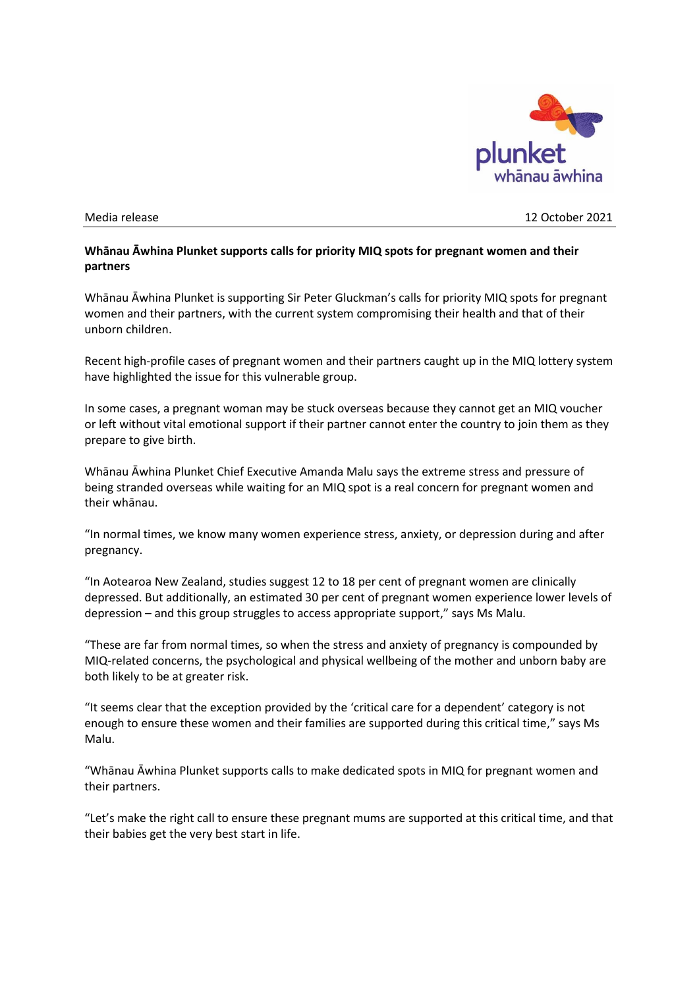

Media release 12 October 2021

## **Whānau Āwhina Plunket supports calls for priority MIQ spots for pregnant women and their partners**

Whānau Āwhina Plunket is supporting Sir Peter Gluckman's calls for priority MIQ spots for pregnant women and their partners, with the current system compromising their health and that of their unborn children.

Recent high-profile cases of pregnant women and their partners caught up in the MIQ lottery system have highlighted the issue for this vulnerable group.

In some cases, a pregnant woman may be stuck overseas because they cannot get an MIQ voucher or left without vital emotional support if their partner cannot enter the country to join them as they prepare to give birth.

Whānau Āwhina Plunket Chief Executive Amanda Malu says the extreme stress and pressure of being stranded overseas while waiting for an MIQ spot is a real concern for pregnant women and their whānau.

"In normal times, we know many women experience stress, anxiety, or depression during and after pregnancy.

"In Aotearoa New Zealand, studies suggest 12 to 18 per cent of pregnant women are clinically depressed. But additionally, an estimated 30 per cent of pregnant women experience lower levels of depression – and this group struggles to access appropriate support," says Ms Malu.

"These are far from normal times, so when the stress and anxiety of pregnancy is compounded by MIQ-related concerns, the psychological and physical wellbeing of the mother and unborn baby are both likely to be at greater risk.

"It seems clear that the exception provided by the 'critical care for a dependent' category is not enough to ensure these women and their families are supported during this critical time," says Ms Malu.

"Whānau Āwhina Plunket supports calls to make dedicated spots in MIQ for pregnant women and their partners.

"Let's make the right call to ensure these pregnant mums are supported at this critical time, and that their babies get the very best start in life.